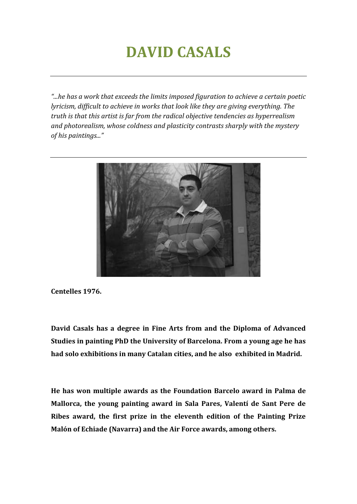# **DAVID CASALS**

*"...he has a work that exceeds the limits imposed figuration to achieve a certain poetic lyricism, difficult to achieve in works that look like they are giving everything. The truth is that this artist is far from the radical objective tendencies as hyperrealism and photorealism, whose coldness and plasticity contrasts sharply with the mystery of his paintings..."*



**Centelles 1976.**

**David Casals has a degree in Fine Arts from and the Diploma of Advanced Studies in painting PhD the University of Barcelona. From a young age he has had solo exhibitions in many Catalan cities, and he also exhibited in Madrid.**

**He has won multiple awards as the Foundation Barcelo award in Palma de Mallorca, the young painting award in Sala Pares, Valentí de Sant Pere de Ribes award, the first prize in the eleventh edition of the Painting Prize Malón of Echiade (Navarra) and the Air Force awards, among others.**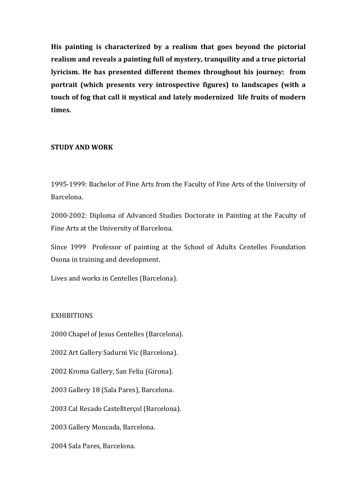**His painting is characterized by a realism that goes beyond the pictorial realism and reveals a painting full of mystery, tranquility and a true pictorial lyricism. He has presented different themes throughout his journey: from portrait (which presents very introspective figures) to landscapes (with a touch of fog that call it mystical and lately modernized life fruits of modern times.**

#### **STUDY AND WORK**

1995-1999: Bachelor of Fine Arts from the Faculty of Fine Arts of the University of Barcelona.

2000-2002: Diploma of Advanced Studies Doctorate in Painting at the Faculty of Fine Arts at the University of Barcelona.

Since 1999 Professor of painting at the School of Adults Centelles Foundation Osona in training and development.

Lives and works in Centelles (Barcelona).

#### **EXHIBITIONS**

2000 Chapel of Jesus Centelles (Barcelona).

2002 Art Gallery Sadurni Vic (Barcelona).

2002 Kroma Gallery, San Feliu (Girona).

2003 Gallery 18 (Sala Pares), Barcelona.

2003 Cal Recado Castellterçol (Barcelona).

2003 Gallery Moncada, Barcelona.

2004 Sala Pares, Barcelona.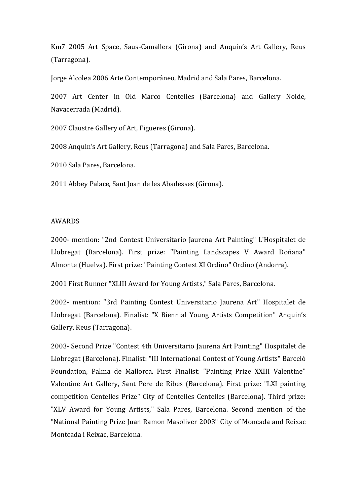Km7 2005 Art Space, Saus-Camallera (Girona) and Anquin's Art Gallery, Reus (Tarragona).

Jorge Alcolea 2006 Arte Contemporáneo, Madrid and Sala Pares, Barcelona.

2007 Art Center in Old Marco Centelles (Barcelona) and Gallery Nolde, Navacerrada (Madrid).

2007 Claustre Gallery of Art, Figueres (Girona).

2008 Anquin's Art Gallery, Reus (Tarragona) and Sala Pares, Barcelona.

2010 Sala Pares, Barcelona.

2011 Abbey Palace, Sant Joan de les Abadesses (Girona).

### AWARDS

2000- mention: "2nd Contest Universitario Jaurena Art Painting" L'Hospitalet de Llobregat (Barcelona). First prize: "Painting Landscapes V Award Doñana" Almonte (Huelva). First prize: "Painting Contest XI Ordino" Ordino (Andorra).

2001 First Runner "XLIII Award for Young Artists," Sala Pares, Barcelona.

2002- mention: "3rd Painting Contest Universitario Jaurena Art" Hospitalet de Llobregat (Barcelona). Finalist: "X Biennial Young Artists Competition" Anquin's Gallery, Reus (Tarragona).

2003- Second Prize "Contest 4th Universitario Jaurena Art Painting" Hospitalet de Llobregat (Barcelona). Finalist: "III International Contest of Young Artists" Barceló Foundation, Palma de Mallorca. First Finalist: "Painting Prize XXIII Valentine" Valentine Art Gallery, Sant Pere de Ribes (Barcelona). First prize: "LXI painting competition Centelles Prize" City of Centelles Centelles (Barcelona). Third prize: "XLV Award for Young Artists," Sala Pares, Barcelona. Second mention of the "National Painting Prize Juan Ramon Masoliver 2003" City of Moncada and Reixac Montcada i Reixac, Barcelona.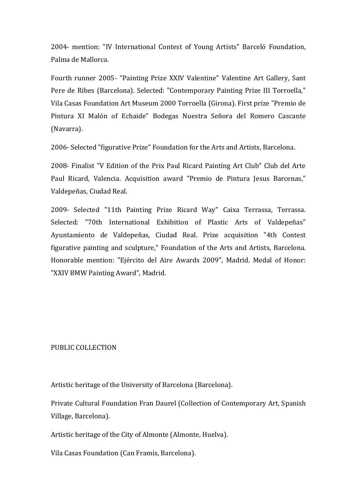2004- mention: "IV International Contest of Young Artists" Barceló Foundation, Palma de Mallorca.

Fourth runner 2005- "Painting Prize XXIV Valentine" Valentine Art Gallery, Sant Pere de Ribes (Barcelona). Selected: "Contemporary Painting Prize III Torroella," Vila Casas Foundation Art Museum 2000 Torroella (Girona). First prize "Premio de Pintura XI Malón of Echaide" Bodegas Nuestra Señora del Romero Cascante (Navarra).

2006- Selected "figurative Prize" Foundation for the Arts and Artists, Barcelona.

2008- Finalist "V Edition of the Prix Paul Ricard Painting Art Club" Club del Arte Paul Ricard, Valencia. Acquisition award "Premio de Pintura Jesus Barcenas," Valdepeñas, Ciudad Real.

2009- Selected "11th Painting Prize Ricard Way" Caixa Terrassa, Terrassa. Selected: "70th International Exhibition of Plastic Arts of Valdepeñas" Ayuntamiento de Valdepeñas, Ciudad Real. Prize acquisition "4th Contest figurative painting and sculpture," Foundation of the Arts and Artists, Barcelona. Honorable mention: "Ejército del Aire Awards 2009", Madrid. Medal of Honor: "XXIV BMW Painting Award", Madrid.

## PUBLIC COLLECTION

Artistic heritage of the University of Barcelona (Barcelona).

Private Cultural Foundation Fran Daurel (Collection of Contemporary Art, Spanish Village, Barcelona).

Artistic heritage of the City of Almonte (Almonte, Huelva).

Vila Casas Foundation (Can Framis, Barcelona).